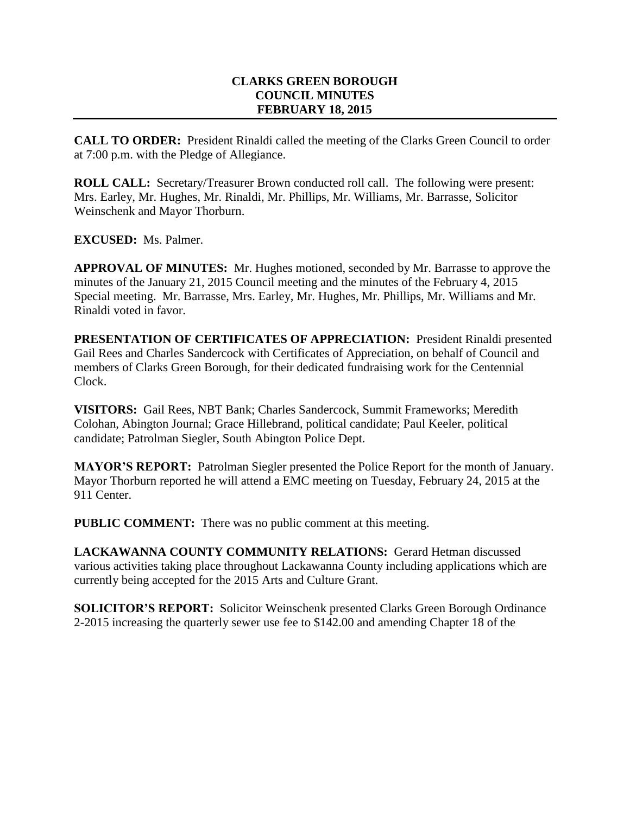# **CLARKS GREEN BOROUGH COUNCIL MINUTES FEBRUARY 18, 2015**

**CALL TO ORDER:** President Rinaldi called the meeting of the Clarks Green Council to order at 7:00 p.m. with the Pledge of Allegiance.

**ROLL CALL:** Secretary/Treasurer Brown conducted roll call. The following were present: Mrs. Earley, Mr. Hughes, Mr. Rinaldi, Mr. Phillips, Mr. Williams, Mr. Barrasse, Solicitor Weinschenk and Mayor Thorburn.

**EXCUSED:** Ms. Palmer.

**APPROVAL OF MINUTES:** Mr. Hughes motioned, seconded by Mr. Barrasse to approve the minutes of the January 21, 2015 Council meeting and the minutes of the February 4, 2015 Special meeting. Mr. Barrasse, Mrs. Earley, Mr. Hughes, Mr. Phillips, Mr. Williams and Mr. Rinaldi voted in favor.

**PRESENTATION OF CERTIFICATES OF APPRECIATION:** President Rinaldi presented Gail Rees and Charles Sandercock with Certificates of Appreciation, on behalf of Council and members of Clarks Green Borough, for their dedicated fundraising work for the Centennial Clock.

**VISITORS:** Gail Rees, NBT Bank; Charles Sandercock, Summit Frameworks; Meredith Colohan, Abington Journal; Grace Hillebrand, political candidate; Paul Keeler, political candidate; Patrolman Siegler, South Abington Police Dept.

**MAYOR'S REPORT:** Patrolman Siegler presented the Police Report for the month of January. Mayor Thorburn reported he will attend a EMC meeting on Tuesday, February 24, 2015 at the 911 Center.

**PUBLIC COMMENT:** There was no public comment at this meeting.

**LACKAWANNA COUNTY COMMUNITY RELATIONS:** Gerard Hetman discussed various activities taking place throughout Lackawanna County including applications which are currently being accepted for the 2015 Arts and Culture Grant.

**SOLICITOR'S REPORT:** Solicitor Weinschenk presented Clarks Green Borough Ordinance 2-2015 increasing the quarterly sewer use fee to \$142.00 and amending Chapter 18 of the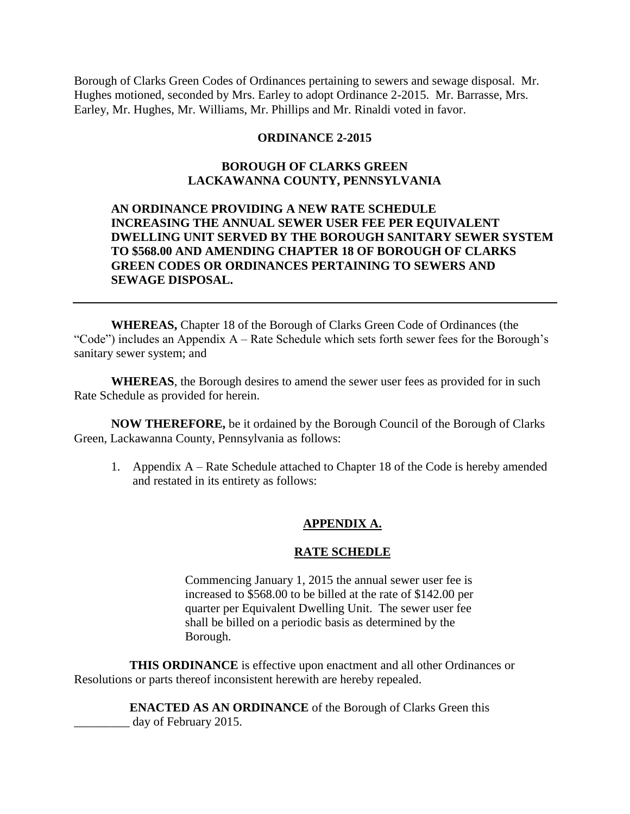Borough of Clarks Green Codes of Ordinances pertaining to sewers and sewage disposal. Mr. Hughes motioned, seconded by Mrs. Earley to adopt Ordinance 2-2015. Mr. Barrasse, Mrs. Earley, Mr. Hughes, Mr. Williams, Mr. Phillips and Mr. Rinaldi voted in favor.

### **ORDINANCE 2-2015**

# **BOROUGH OF CLARKS GREEN LACKAWANNA COUNTY, PENNSYLVANIA**

# **AN ORDINANCE PROVIDING A NEW RATE SCHEDULE INCREASING THE ANNUAL SEWER USER FEE PER EQUIVALENT DWELLING UNIT SERVED BY THE BOROUGH SANITARY SEWER SYSTEM TO \$568.00 AND AMENDING CHAPTER 18 OF BOROUGH OF CLARKS GREEN CODES OR ORDINANCES PERTAINING TO SEWERS AND SEWAGE DISPOSAL.**

**WHEREAS,** Chapter 18 of the Borough of Clarks Green Code of Ordinances (the "Code") includes an Appendix A – Rate Schedule which sets forth sewer fees for the Borough's sanitary sewer system; and

**WHEREAS**, the Borough desires to amend the sewer user fees as provided for in such Rate Schedule as provided for herein.

**NOW THEREFORE,** be it ordained by the Borough Council of the Borough of Clarks Green, Lackawanna County, Pennsylvania as follows:

1. Appendix A – Rate Schedule attached to Chapter 18 of the Code is hereby amended and restated in its entirety as follows:

### **APPENDIX A.**

#### **RATE SCHEDLE**

Commencing January 1, 2015 the annual sewer user fee is increased to \$568.00 to be billed at the rate of \$142.00 per quarter per Equivalent Dwelling Unit. The sewer user fee shall be billed on a periodic basis as determined by the Borough.

**THIS ORDINANCE** is effective upon enactment and all other Ordinances or Resolutions or parts thereof inconsistent herewith are hereby repealed.

> **ENACTED AS AN ORDINANCE** of the Borough of Clarks Green this \_\_\_\_\_\_\_\_\_ day of February 2015.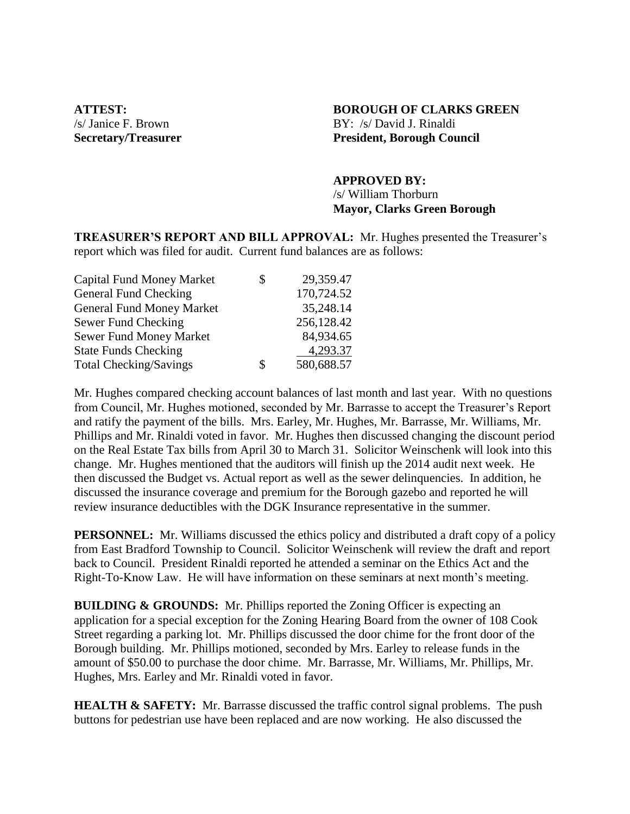# **ATTEST: BOROUGH OF CLARKS GREEN** /s/ Janice F. Brown BY: /s/ David J. Rinaldi **Secretary/Treasurer President, Borough Council**

### **APPROVED BY:**

/s/ William Thorburn **Mayor, Clarks Green Borough**

**TREASURER'S REPORT AND BILL APPROVAL:** Mr. Hughes presented the Treasurer's report which was filed for audit. Current fund balances are as follows:

| \$<br>29,359.47  |
|------------------|
| 170,724.52       |
| 35,248.14        |
| 256,128.42       |
| 84,934.65        |
| 4,293.37         |
| \$<br>580,688.57 |
|                  |

Mr. Hughes compared checking account balances of last month and last year. With no questions from Council, Mr. Hughes motioned, seconded by Mr. Barrasse to accept the Treasurer's Report and ratify the payment of the bills. Mrs. Earley, Mr. Hughes, Mr. Barrasse, Mr. Williams, Mr. Phillips and Mr. Rinaldi voted in favor. Mr. Hughes then discussed changing the discount period on the Real Estate Tax bills from April 30 to March 31. Solicitor Weinschenk will look into this change. Mr. Hughes mentioned that the auditors will finish up the 2014 audit next week. He then discussed the Budget vs. Actual report as well as the sewer delinquencies. In addition, he discussed the insurance coverage and premium for the Borough gazebo and reported he will review insurance deductibles with the DGK Insurance representative in the summer.

**PERSONNEL:** Mr. Williams discussed the ethics policy and distributed a draft copy of a policy from East Bradford Township to Council. Solicitor Weinschenk will review the draft and report back to Council. President Rinaldi reported he attended a seminar on the Ethics Act and the Right-To-Know Law. He will have information on these seminars at next month's meeting.

**BUILDING & GROUNDS:** Mr. Phillips reported the Zoning Officer is expecting an application for a special exception for the Zoning Hearing Board from the owner of 108 Cook Street regarding a parking lot. Mr. Phillips discussed the door chime for the front door of the Borough building. Mr. Phillips motioned, seconded by Mrs. Earley to release funds in the amount of \$50.00 to purchase the door chime. Mr. Barrasse, Mr. Williams, Mr. Phillips, Mr. Hughes, Mrs. Earley and Mr. Rinaldi voted in favor.

**HEALTH & SAFETY:** Mr. Barrasse discussed the traffic control signal problems. The push buttons for pedestrian use have been replaced and are now working. He also discussed the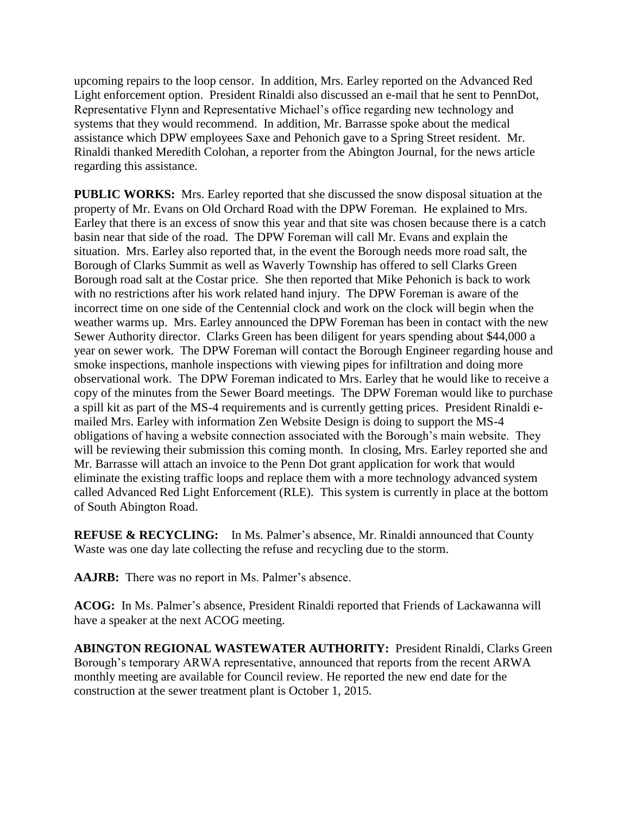upcoming repairs to the loop censor. In addition, Mrs. Earley reported on the Advanced Red Light enforcement option. President Rinaldi also discussed an e-mail that he sent to PennDot, Representative Flynn and Representative Michael's office regarding new technology and systems that they would recommend. In addition, Mr. Barrasse spoke about the medical assistance which DPW employees Saxe and Pehonich gave to a Spring Street resident. Mr. Rinaldi thanked Meredith Colohan, a reporter from the Abington Journal, for the news article regarding this assistance.

**PUBLIC WORKS:** Mrs. Earley reported that she discussed the snow disposal situation at the property of Mr. Evans on Old Orchard Road with the DPW Foreman. He explained to Mrs. Earley that there is an excess of snow this year and that site was chosen because there is a catch basin near that side of the road. The DPW Foreman will call Mr. Evans and explain the situation. Mrs. Earley also reported that, in the event the Borough needs more road salt, the Borough of Clarks Summit as well as Waverly Township has offered to sell Clarks Green Borough road salt at the Costar price. She then reported that Mike Pehonich is back to work with no restrictions after his work related hand injury. The DPW Foreman is aware of the incorrect time on one side of the Centennial clock and work on the clock will begin when the weather warms up. Mrs. Earley announced the DPW Foreman has been in contact with the new Sewer Authority director. Clarks Green has been diligent for years spending about \$44,000 a year on sewer work. The DPW Foreman will contact the Borough Engineer regarding house and smoke inspections, manhole inspections with viewing pipes for infiltration and doing more observational work. The DPW Foreman indicated to Mrs. Earley that he would like to receive a copy of the minutes from the Sewer Board meetings. The DPW Foreman would like to purchase a spill kit as part of the MS-4 requirements and is currently getting prices. President Rinaldi emailed Mrs. Earley with information Zen Website Design is doing to support the MS-4 obligations of having a website connection associated with the Borough's main website. They will be reviewing their submission this coming month. In closing, Mrs. Earley reported she and Mr. Barrasse will attach an invoice to the Penn Dot grant application for work that would eliminate the existing traffic loops and replace them with a more technology advanced system called Advanced Red Light Enforcement (RLE). This system is currently in place at the bottom of South Abington Road.

**REFUSE & RECYCLING:** In Ms. Palmer's absence, Mr. Rinaldi announced that County Waste was one day late collecting the refuse and recycling due to the storm.

**AAJRB:** There was no report in Ms. Palmer's absence.

**ACOG:** In Ms. Palmer's absence, President Rinaldi reported that Friends of Lackawanna will have a speaker at the next ACOG meeting.

**ABINGTON REGIONAL WASTEWATER AUTHORITY:** President Rinaldi, Clarks Green Borough's temporary ARWA representative, announced that reports from the recent ARWA monthly meeting are available for Council review. He reported the new end date for the construction at the sewer treatment plant is October 1, 2015.